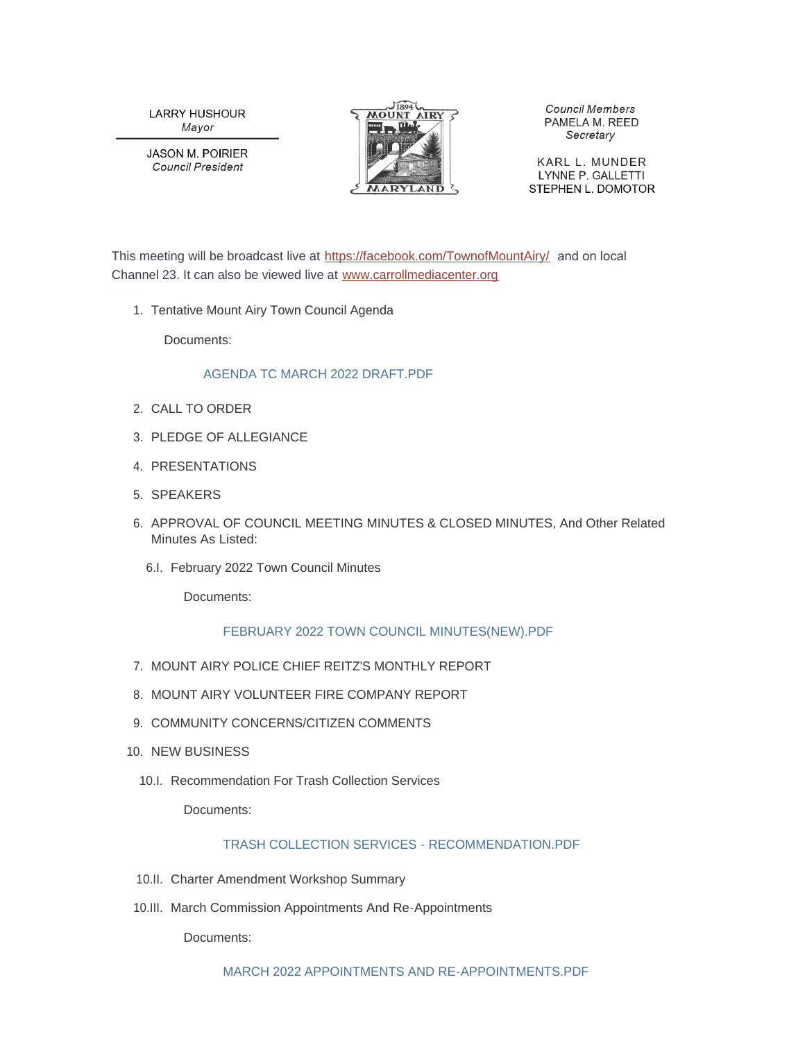**LARRY HUSHOUR** Mayor

**JASON M. POIRIER Council President** 



**Council Members** PAMELA M. REED Secretary

KARL L. MUNDER LYNNE P. GALLETTI STEPHEN L. DOMOTOR

This meeting will be broadcast live at <https://facebook.com/TownofMountAiry/> and on local Channel 23. It can also be viewed live at [www.carrollmediacenter.org](https://www.carrollmediacenter.org/)

1. Tentative Mount Airy Town Council Agenda

Documents:

## [AGENDA TC MARCH 2022 DRAFT.PDF](https://www.mountairymd.org/AgendaCenter/ViewFile/Item/1615?fileID=36840)

- 2. CALL TO ORDER
- PLEDGE OF ALLEGIANCE 3.
- 4. PRESENTATIONS
- SPEAKERS 5.
- 6. APPROVAL OF COUNCIL MEETING MINUTES & CLOSED MINUTES, And Other Related Minutes As Listed:
	- 6.I. February 2022 Town Council Minutes

Documents:

# [FEBRUARY 2022 TOWN COUNCIL MINUTES\(NEW\).PDF](https://www.mountairymd.org/AgendaCenter/ViewFile/Item/1616?fileID=36841)

- 7. MOUNT AIRY POLICE CHIEF REITZ'S MONTHLY REPORT
- 8. MOUNT AIRY VOLUNTEER FIRE COMPANY REPORT
- 9. COMMUNITY CONCERNS/CITIZEN COMMENTS
- 10. NEW BUSINESS
	- 10.I. Recommendation For Trash Collection Services

Documents:

# [TRASH COLLECTION SERVICES - RECOMMENDATION.PDF](https://www.mountairymd.org/AgendaCenter/ViewFile/Item/1617?fileID=36842)

- 10.II. Charter Amendment Workshop Summary
- 10.III. March Commission Appointments And Re-Appointments

Documents: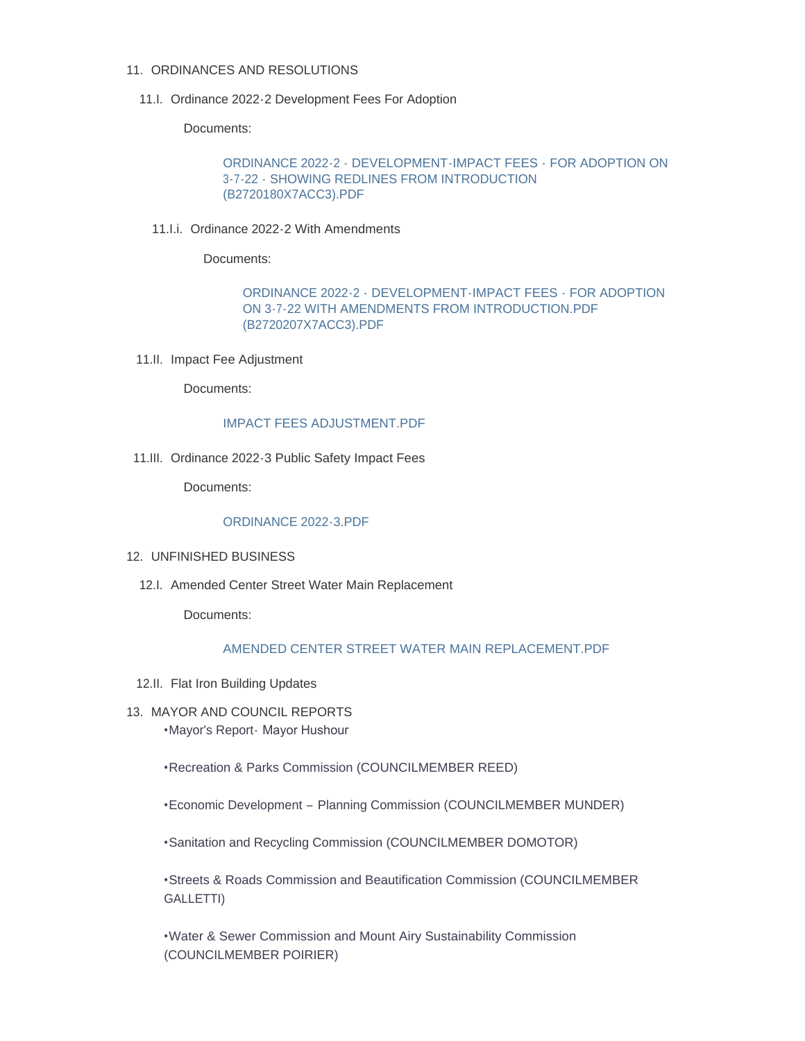#### 11. ORDINANCES AND RESOLUTIONS

11.I. Ordinance 2022-2 Development Fees For Adoption

Documents:

[ORDINANCE 2022-2 - DEVELOPMENT-IMPACT FEES - FOR ADOPTION ON](https://www.mountairymd.org/AgendaCenter/ViewFile/Item/1620?fileID=36844)  3-7-22 - SHOWING REDLINES FROM INTRODUCTION (B2720180X7ACC3).PDF

11.I.i. Ordinance 2022-2 With Amendments

Documents:

[ORDINANCE 2022-2 - DEVELOPMENT-IMPACT FEES - FOR ADOPTION](https://www.mountairymd.org/AgendaCenter/ViewFile/Item/1625?fileID=36848)  ON 3-7-22 WITH AMENDMENTS FROM INTRODUCTION.PDF (B2720207X7ACC3).PDF

11.II. Impact Fee Adjustment

Documents:

#### [IMPACT FEES ADJUSTMENT.PDF](https://www.mountairymd.org/AgendaCenter/ViewFile/Item/1623?fileID=36846)

11.III. Ordinance 2022-3 Public Safety Impact Fees

Documents:

### [ORDINANCE 2022-3.PDF](https://www.mountairymd.org/AgendaCenter/ViewFile/Item/1624?fileID=36847)

- 12. UNFINISHED BUSINESS
	- 12.I. Amended Center Street Water Main Replacement

Documents:

### [AMENDED CENTER STREET WATER MAIN REPLACEMENT.PDF](https://www.mountairymd.org/AgendaCenter/ViewFile/Item/1626?fileID=36849)

- 12.II. Flat Iron Building Updates
- 13. MAYOR AND COUNCIL REPORTS •Mayor's Report- Mayor Hushour

•Recreation & Parks Commission (COUNCILMEMBER REED)

•Economic Development – Planning Commission (COUNCILMEMBER MUNDER)

•Sanitation and Recycling Commission (COUNCILMEMBER DOMOTOR)

•Streets & Roads Commission and Beautification Commission (COUNCILMEMBER GALLETTI)

•Water & Sewer Commission and Mount Airy Sustainability Commission (COUNCILMEMBER POIRIER)